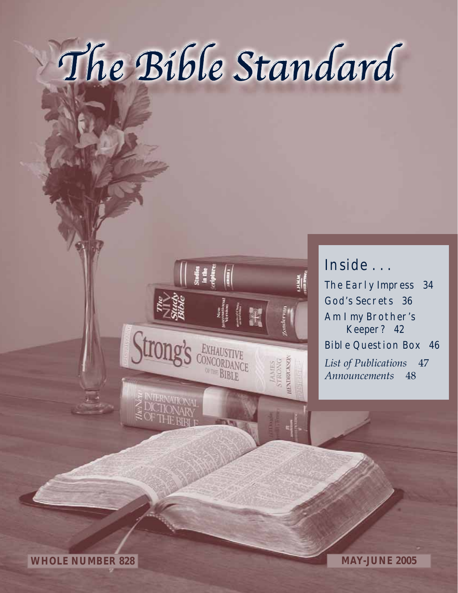# The Bible Standard



## Inside . . .

The Early Impress 34 God's Secrets 36 Am I my Brother's Keeper? 42 Bible Question Box 46 *List of Publications* 47 *Announcements* 48

**WHOLE NUMBER 828 MAY-JUNE 2005**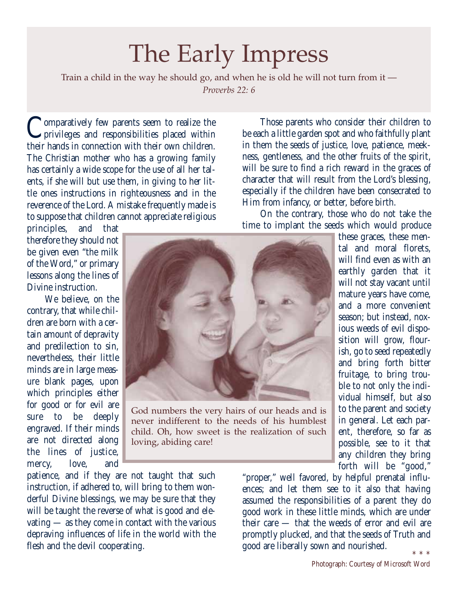## The Early Impress

Train a child in the way he should go, and when he is old he will not turn from it — *Proverbs 22: 6*

Comparatively few parents seem to realize the<br>privileges and responsibilities placed within their hands in connection with their own children. The Christian mother who has a growing family has certainly a wide scope for the use of all her talents, if she will but use them, in giving to her little ones instructions in righteousness and in the reverence of the Lord. A mistake frequently made is to suppose that children cannot appreciate religious

principles, and that therefore they should not be given even "the milk of the Word," or primary lessons along the lines of Divine instruction.

We believe, on the contrary, that while children are born with a certain amount of depravity and predilection to sin, nevertheless, their little minds are in large measure blank pages, upon which principles either for good or for evil are sure to be deeply engraved. If their minds are not directed along the lines of justice, mercy, love, and



God numbers the very hairs of our heads and is never indifferent to the needs of his humblest child. Oh, how sweet is the realization of such loving, abiding care!

patience, and if they are not taught that such instruction, if adhered to, will bring to them wonderful Divine blessings, we may be sure that they will be taught the reverse of what is good and elevating — as they come in contact with the various depraving influences of life in the world with the flesh and the devil cooperating.

Those parents who consider their children to be each a little garden spot and who faithfully plant in them the seeds of justice, love, patience, meekness, gentleness, and the other fruits of the spirit, will be sure to find a rich reward in the graces of character that will result from the Lord's blessing, especially if the children have been consecrated to Him from infancy, or better, before birth.

On the contrary, those who do not take the time to implant the seeds which would produce

> these graces, these mental and moral florets, will find even as with an earthly garden that it will not stay vacant until mature years have come, and a more convenient season; but instead, noxious weeds of evil disposition will grow, flourish, go to seed repeatedly and bring forth bitter fruitage, to bring trouble to not only the individual himself, but also to the parent and society in general. Let each parent, therefore, so far as possible, see to it that any children they bring forth will be "good,"

"proper," well favored, by helpful prenatal influences; and let them see to it also that having assumed the responsibilities of a parent they do good work in these little minds, which are under their care — that the weeds of error and evil are promptly plucked, and that the seeds of Truth and good are liberally sown and nourished.  $\begin{array}{cccccc} * & * & * \end{array}$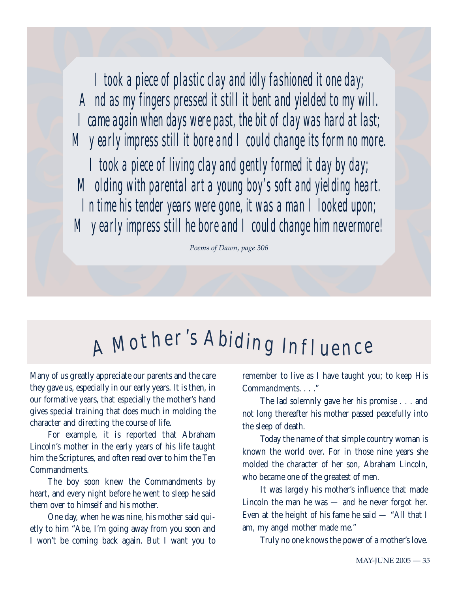*I took a piece of plastic clay and idly fashioned it one day; And as my fingers pressed it still it bent and yielded to my will. I came again when days were past, the bit of clay was hard at last; My early impress still it bore and I could change its form no more.* 

*I took a piece of living clay and gently formed it day by day; Molding with parental art a young boy's soft and yielding heart. In time his tender years were gone, it was a man I looked upon; My early impress still he bore and I could change him nevermore!*

*Poems of Dawn, page 306*

## A <sup>M</sup>other'<sup>s</sup> <sup>A</sup>bidi<sup>n</sup><sup>g</sup> <sup>I</sup>nfluenc<sup>e</sup>

Many of us greatly appreciate our parents and the care they gave us, especially in our early years. It is then, in our formative years, that especially the mother's hand gives special training that does much in molding the character and directing the course of life.

For example, it is reported that Abraham Lincoln's mother in the early years of his life taught him the Scriptures, and often read over to him the Ten Commandments.

The boy soon knew the Commandments by heart, and every night before he went to sleep he said them over to himself and his mother.

One day, when he was nine, his mother said quietly to him "Abe, I'm going away from you soon and I won't be coming back again. But I want you to

remember to live as I have taught you; to keep His Commandments. . . ."

The lad solemnly gave her his promise . . . and not long thereafter his mother passed peacefully into the sleep of death.

Today the name of that simple country woman is known the world over. For in those nine years she molded the character of her son, Abraham Lincoln, who became one of the greatest of men.

It was largely his mother's influence that made Lincoln the man he was — and he never forgot her. Even at the height of his fame he said — "All that I am, my angel mother made me."

Truly no one knows the power of a mother's love.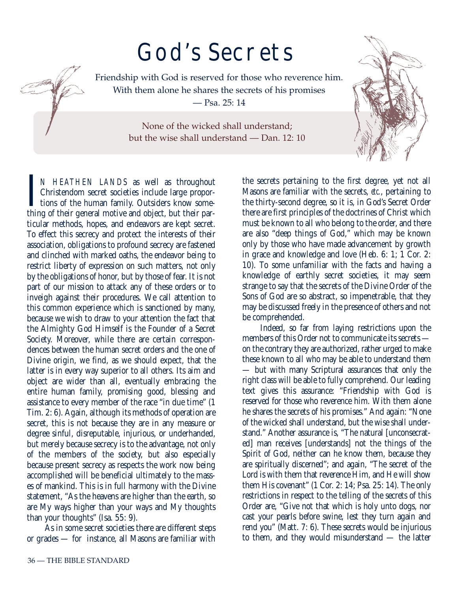## God's Secrets



Friendship with God is reserved for those who reverence him. With them alone he shares the secrets of his promises — Psa. 25: 14

> None of the wicked shall understand; but the wise shall understand — Dan. 12: 10

I<br>thin N HEATHEN LANDS as well as throughout Christendom secret societies include large proportions of the human family. Outsiders know something of their general motive and object, but their particular methods, hopes, and endeavors are kept secret. To effect this secrecy and protect the interests of their association, obligations to profound secrecy are fastened and clinched with marked oaths, the endeavor being to restrict liberty of expression on such matters, not only by the obligations of honor, but by those of fear. It is not part of our mission to attack any of these orders or to inveigh against their procedures. We call attention to this common experience which is sanctioned by many, because we wish to draw to your attention the fact that the Almighty God Himself is the Founder of a Secret Society. Moreover, while there are certain correspondences between the human secret orders and the one of Divine origin, we find, as we should expect, that the latter is in every way superior to all others. Its aim and object are wider than all, eventually embracing the entire human family, promising good, blessing and assistance to every member of the race "in due time" (1 Tim. 2: 6). Again, although its methods of operation are secret, this is not because they are in any measure or degree sinful, disreputable, injurious, or underhanded, but merely because secrecy is to the advantage, not only of the members of the society, but also especially because present secrecy as respects the work now being accomplished will be beneficial ultimately to the masses of mankind. This is in full harmony with the Divine statement, "As the heavens are higher than the earth, so are My ways higher than your ways and My thoughts than your thoughts" (Isa. 55: 9).

As in some secret societies there are different steps or grades — for instance, all Masons are familiar with the secrets pertaining to the first degree, yet not all Masons are familiar with the secrets, *etc.*, pertaining to the thirty-second degree, so it is, in God's Secret Order there are first principles of the doctrines of Christ which must be known to all who belong to the order, and there are also "deep things of God," which may be known only by those who have made advancement by growth in grace and knowledge and love (Heb. 6: 1; 1 Cor. 2: 10). To some unfamiliar with the facts and having a knowledge of earthly secret societies, it may seem strange to say that the secrets of the Divine Order of the Sons of God are so abstract, so impenetrable, that they may be discussed freely in the presence of others and not be comprehended.

Indeed, so far from laying restrictions upon the members of this Order not to communicate its secrets on the contrary they are authorized, rather urged to make these known to all who may be able to understand them — but with many Scriptural assurances that only the right class will be able to fully comprehend. Our leading text gives this assurance: "Friendship with God is reserved for those who reverence him. With them alone he shares the secrets of his promises." And again: "None of the wicked shall understand, but the wise shall understand." Another assurance is, "The natural [unconsecrated] man receives [understands] not the things of the Spirit of God, neither can he know them, because they are spiritually discerned"; and again, "The secret of the Lord is with them that reverence Him, and He will show them His covenant" (1 Cor. 2: 14; Psa. 25: 14). The only restrictions in respect to the telling of the secrets of this Order are, "Give not that which is holy unto dogs, nor cast your pearls before swine, lest they turn again and rend you" (Matt. 7: 6). These secrets would be injurious to them, and they would misunderstand — the latter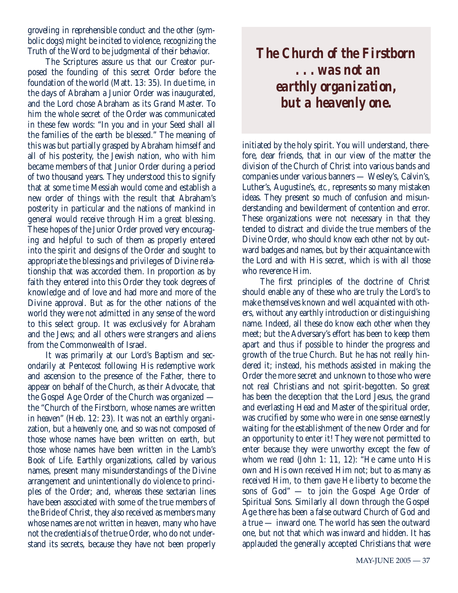groveling in reprehensible conduct and the other (symbolic dogs) might be incited to violence, recognizing the Truth of the Word to be judgmental of their behavior.

The Scriptures assure us that our Creator purposed the founding of this secret Order before the foundation of the world (Matt. 13: 35). In due time, in the days of Abraham a Junior Order was inaugurated, and the Lord chose Abraham as its Grand Master. To him the whole secret of the Order was communicated in these few words: "In you and in your Seed shall all the families of the earth be blessed." The meaning of this was but partially grasped by Abraham himself and all of his posterity, the Jewish nation, who with him became members of that Junior Order during a period of two thousand years. They understood this to signify that at some time Messiah would come and establish a new order of things with the result that Abraham's posterity in particular and the nations of mankind in general would receive through Him a great blessing. These hopes of the Junior Order proved very encouraging and helpful to such of them as properly entered into the spirit and designs of the Order and sought to appropriate the blessings and privileges of Divine relationship that was accorded them. In proportion as by faith they entered into this Order they took degrees of knowledge and of love and had more and more of the Divine approval. But as for the other nations of the world they were not admitted in any sense of the word to this select group. It was exclusively for Abraham and the Jews; and all others were strangers and aliens from the Commonwealth of Israel.

It was primarily at our Lord's Baptism and secondarily at Pentecost following His redemptive work and ascension to the presence of the Father, there to appear on behalf of the Church, as their Advocate, that the Gospel Age Order of the Church was organized the "Church of the Firstborn, whose names are written in heaven" (Heb. 12: 23). It was not an earthly organization, but a heavenly one, and so was not composed of those whose names have been written on earth, but those whose names have been written in the Lamb's Book of Life. Earthly organizations, called by various names, present many misunderstandings of the Divine arrangement and unintentionally do violence to principles of the Order; and, whereas these sectarian lines have been associated with some of the true members of the Bride of Christ, they also received as members many whose names are not written in heaven, many who have not the credentials of the true Order, who do not understand its secrets, because they have not been properly

*The Church of the Firstborn . . . was not an earthly organization, but a heavenly one.*

initiated by the holy spirit. You will understand, therefore, dear friends, that in our view of the matter the division of the Church of Christ into various bands and companies under various banners — Wesley's, Calvin's, Luther's, Augustine's, *etc.*, represents so many mistaken ideas. They present so much of confusion and misunderstanding and bewilderment of contention and error. These organizations were not necessary in that they tended to distract and divide the true members of the Divine Order, who should know each other not by outward badges and names, but by their acquaintance with the Lord and with His secret, which is with all those who reverence Him.

The first principles of the doctrine of Christ should enable any of these who are truly the Lord's to make themselves known and well acquainted with others, without any earthly introduction or distinguishing name. Indeed, all these do know each other when they meet; but the Adversary's effort has been to keep them apart and thus if possible to hinder the progress and growth of the true Church. But he has not really hindered it; instead, his methods assisted in making the Order the more secret and unknown to those who were not real Christians and not spirit-begotten. So great has been the deception that the Lord Jesus, the grand and everlasting Head and Master of the spiritual order, was crucified by some who were in one sense earnestly waiting for the establishment of the new Order and for an opportunity to enter it! They were not permitted to enter because they were unworthy except the few of whom we read (John 1: 11, 12): "He came unto His own and His own received Him not; but to as many as received Him, to them gave He liberty to become the sons of God" — to join the Gospel Age Order of Spiritual Sons. Similarly all down through the Gospel Age there has been a false outward Church of God and a true — inward one. The world has seen the outward one, but not that which was inward and hidden. It has applauded the generally accepted Christians that were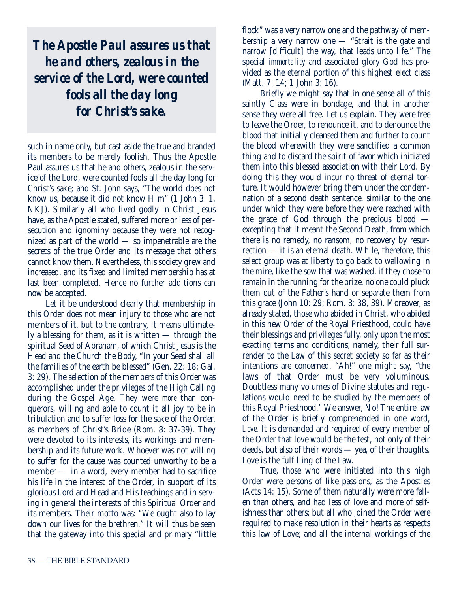*The Apostle Paul assures us that he and others, zealous in the service of the Lord, were counted fools all the day long for Christ's sake.*

such in name only, but cast aside the true and branded its members to be merely foolish. Thus the Apostle Paul assures us that he and others, zealous in the service of the Lord, were counted fools all the day long for Christ's sake; and St. John says, "The world does not know us, because it did not know Him" (1 John 3: 1, NKJ). Similarly all who lived godly in Christ Jesus have, as the Apostle stated, suffered more or less of persecution and ignominy because they were not recognized as part of the world — so impenetrable are the secrets of the true Order and its message that others cannot know them. Nevertheless, this society grew and increased, and its fixed and limited membership has at last been completed. Hence no further additions can now be accepted.

Let it be understood clearly that membership in this Order does not mean injury to those who are not members of it, but to the contrary, it means ultimately a blessing for them, as it is written — through the spiritual Seed of Abraham, of which Christ Jesus is the Head and the Church the Body, "In your Seed shall all the families of the earth be blessed" (Gen. 22: 18; Gal. 3: 29). The selection of the members of this Order was accomplished under the privileges of the High Calling during the Gospel Age. They were *more* than conquerors, willing and able to count it all joy to be in tribulation and to suffer loss for the sake of the Order, as members of Christ's Bride (Rom. 8: 37-39). They were devoted to its interests, its workings and membership and its future work. Whoever was not willing to suffer for the cause was counted unworthy to be a member — in a word, every member had to sacrifice his life in the interest of the Order, in support of its glorious Lord and Head and His teachings and in serving in general the interests of this Spiritual Order and its members. Their motto was: "We ought also to lay down our lives for the brethren." It will thus be seen that the gateway into this special and primary "little

flock" was a very narrow one and the pathway of membership a very narrow one — "Strait is the gate and narrow [difficult] the way, that leads unto life." The special *immortality* and associated glory God has provided as the eternal portion of this highest elect class (Matt. 7: 14; 1 John 3: 16).

Briefly we might say that in one sense all of this saintly Class were in bondage, and that in another sense they were all free. Let us explain. They were free to leave the Order, to renounce it, and to denounce the blood that initially cleansed them and further to count the blood wherewith they were sanctified a common thing and to discard the spirit of favor which initiated them into this blessed association with their Lord. By doing this they would incur no threat of eternal torture. It would however bring them under the condemnation of a second death sentence, similar to the one under which they were before they were reached with the grace of God through the precious blood excepting that it meant the Second Death, from which there is no remedy, no ransom, no recovery by resurrection — it is an eternal death. While, therefore, this select group was at liberty to go back to wallowing in the mire, like the sow that was washed, if they chose to remain in the running for the prize, no one could pluck them out of the Father's hand or separate them from this grace (John 10: 29; Rom. 8: 38, 39). Moreover, as already stated, those who abided in Christ, who abided in this new Order of the Royal Priesthood, could have their blessings and privileges fully, only upon the most exacting terms and conditions; namely, their full surrender to the Law of this secret society so far as their intentions are concerned. "Ah!" one might say, "the laws of that Order must be very voluminous. Doubtless many volumes of Divine statutes and regulations would need to be studied by the members of this Royal Priesthood." We answer, No! The entire law of the Order is briefly comprehended in one word, *Love*. It is demanded and required of every member of the Order that love would be the test, not only of their deeds, but also of their words — yea, of their thoughts. Love is the fulfilling of the Law.

True, those who were initiated into this high Order were persons of like passions, as the Apostles (Acts 14: 15). Some of them naturally were more fallen than others, and had less of love and more of selfishness than others; but all who joined the Order were required to make resolution in their hearts as respects this law of Love; and all the internal workings of the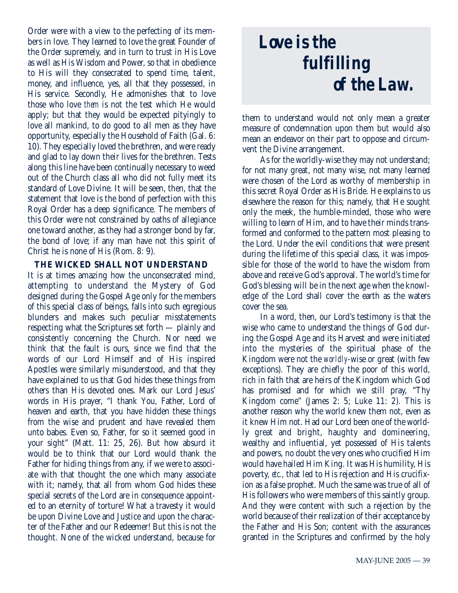Order were with a view to the perfecting of its members in love. They learned to love the great Founder of the Order supremely, and in turn to trust in His Love as well as His Wisdom and Power, so that in obedience to His will they consecrated to spend time, talent, money, and influence, yes, all that they possessed, in His service. Secondly, He admonishes that to love those who love *them* is not the test which He would apply; but that they would be expected pityingly to love all mankind, to do good to all men as they have opportunity, especially the Household of Faith (Gal. 6: 10). They especially loved the brethren, and were ready and glad to lay down their lives for the brethren. Tests along this line have been continually necessary to weed out of the Church class all who did not fully meet its standard of Love Divine. It will be seen, then, that the statement that love is the bond of perfection with this Royal Order has a deep significance. The members of this Order were not constrained by oaths of allegiance one toward another, as they had a stronger bond by far, the bond of love; if any man have not this spirit of Christ he is none of His (Rom. 8: 9).

#### **THE WICKED SHALL NOT UNDERSTAND**

It is at times amazing how the unconsecrated mind, attempting to understand the Mystery of God designed during the Gospel Age only for the members of this special class of beings, falls into such egregious blunders and makes such peculiar misstatements respecting what the Scriptures set forth — plainly and consistently concerning the Church. Nor need we think that the fault is ours, since we find that the words of our Lord Himself and of His inspired Apostles were similarly misunderstood, and that they have explained to us that God hides these things from others than His devoted ones. Mark our Lord Jesus' words in His prayer, "I thank You, Father, Lord of heaven and earth, that you have hidden these things from the wise and prudent and have revealed them unto babes. Even so, Father, for so it seemed good in your sight" (Matt. 11: 25, 26). But how absurd it would be to think that our Lord would thank the Father for hiding things from any, if we were to associate with that thought the one which many associate with it; namely, that all from whom God hides these special secrets of the Lord are in consequence appointed to an eternity of torture! What a travesty it would be upon Divine Love and Justice and upon the character of the Father and our Redeemer! But this is not the thought. None of the wicked understand, because for

## *Love is the fulfilling of the Law.*

them to understand would not only mean a greater measure of condemnation upon them but would also mean an endeavor on their part to oppose and circumvent the Divine arrangement.

As for the worldly-wise they may not understand; for not many great, not many wise, not many learned were chosen of the Lord as worthy of membership in this secret Royal Order as His Bride. He explains to us elsewhere the reason for this; namely, that He sought only the meek, the humble-minded, those who were willing to learn of Him, and to have their minds transformed and conformed to the pattern most pleasing to the Lord. Under the evil conditions that were present during the lifetime of this special class, it was impossible for those of the world to have the wisdom from above and receive God's approval. The world's time for God's blessing will be in the next age when the knowledge of the Lord shall cover the earth as the waters cover the sea.

In a word, then, our Lord's testimony is that the wise who came to understand the things of God during the Gospel Age and its Harvest and were initiated into the mysteries of the spiritual phase of the Kingdom were not the *worldly*-wise or great (with few exceptions). They are chiefly the poor of this world, rich in faith that are heirs of the Kingdom which God has promised and for which we still pray, "Thy Kingdom come" (James 2: 5; Luke 11: 2). This is another reason why the world knew them not, even as it knew Him not. Had our Lord been one of the worldly great and bright, haughty and domineering, wealthy and influential, yet possessed of His talents and powers, no doubt the very ones who crucified Him would have hailed Him King. It was His humility, His poverty, *etc.*, that led to His rejection and His crucifixion as a false prophet. Much the same was true of all of His followers who were members of this saintly group. And they were content with such a rejection by the world because of their realization of their acceptance by the Father and His Son; content with the assurances granted in the Scriptures and confirmed by the holy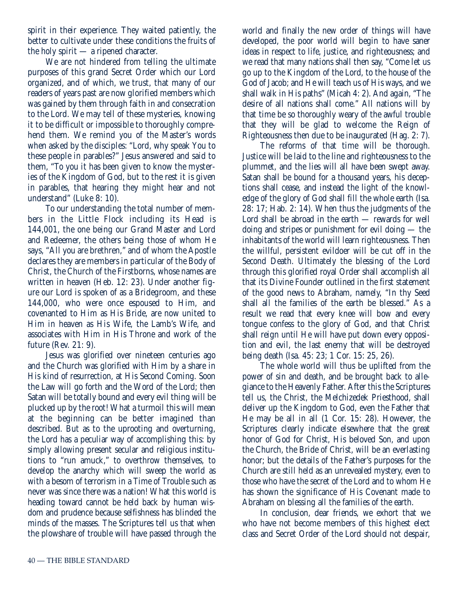spirit in their experience. They waited patiently, the better to cultivate under these conditions the fruits of the holy spirit — a ripened character.

We are not hindered from telling the ultimate purposes of this grand Secret Order which our Lord organized, and of which, we trust, that many of our readers of years past are now glorified members which was gained by them through faith in and consecration to the Lord. We may tell of these mysteries, knowing it to be difficult or impossible to thoroughly comprehend them. We remind you of the Master's words when asked by the disciples: "Lord, why speak You to these people in parables?" Jesus answered and said to them, "To you it has been given to know the mysteries of the Kingdom of God, but to the rest it is given in parables, that hearing they might hear and not understand" (Luke 8: 10).

To our understanding the total number of members in the Little Flock including its Head is 144,001, the one being our Grand Master and Lord and Redeemer, the others being those of whom He says, "All you are brethren," and of whom the Apostle declares they are members in particular of the Body of Christ, the Church of the Firstborns, whose names are written in heaven (Heb. 12: 23). Under another figure our Lord is spoken of as a Bridegroom, and these 144,000, who were once espoused to Him, and covenanted to Him as His Bride, are now united to Him in heaven as His Wife, the Lamb's Wife, and associates with Him in His Throne and work of the future (Rev. 21: 9).

Jesus was glorified over nineteen centuries ago and the Church was glorified with Him by a share in His kind of resurrection, at His Second Coming. Soon the Law will go forth and the Word of the Lord; then Satan will be totally bound and every evil thing will be plucked up by the root! What a turmoil this will mean at the beginning can be better imagined than described. But as to the uprooting and overturning, the Lord has a peculiar way of accomplishing this: by simply allowing present secular and religious institutions to "run amuck," to overthrow themselves, to develop the anarchy which will sweep the world as with a besom of terrorism in a Time of Trouble such as never was since there was a nation! What this world is heading toward cannot be held back by human wisdom and prudence because selfishness has blinded the minds of the masses. The Scriptures tell us that when the plowshare of trouble will have passed through the

world and finally the new order of things will have developed, the poor world will begin to have saner ideas in respect to life, justice, and righteousness; and we read that many nations shall then say, "Come let us go up to the Kingdom of the Lord, to the house of the God of Jacob; and He will teach us of His ways, and we shall walk in His paths" (Micah 4: 2). And again, "The desire of all nations shall come." All nations will by that time be so thoroughly weary of the awful trouble that they will be glad to welcome the Reign of Righteousness then due to be inaugurated (Hag. 2: 7).

The reforms of that time will be thorough. Justice will be laid to the line and righteousness to the plummet, and the lies will all have been swept away. Satan shall be bound for a thousand years, his deceptions shall cease, and instead the light of the knowledge of the glory of God shall fill the whole earth (Isa. 28: 17; Hab. 2: 14). When thus the judgments of the Lord shall be abroad in the earth — rewards for well doing and stripes or punishment for evil doing — the inhabitants of the world will learn righteousness. Then the willful, persistent evildoer will be cut off in the Second Death. Ultimately the blessing of the Lord through this glorified royal Order shall accomplish all that its Divine Founder outlined in the first statement of the good news to Abraham, namely, "In thy Seed shall all the families of the earth be blessed." As a result we read that every knee will bow and every tongue confess to the glory of God, and that Christ shall reign until He will have put down every opposition and evil, the last enemy that will be destroyed being death (Isa. 45: 23; 1 Cor. 15: 25, 26).

The whole world will thus be uplifted from the power of sin and death, and be brought back to allegiance to the Heavenly Father. After this the Scriptures tell us, the Christ, the Melchizedek Priesthood, shall deliver up the Kingdom to God, even the Father that He may be all in all (1 Cor. 15: 28). However, the Scriptures clearly indicate elsewhere that the great honor of God for Christ, His beloved Son, and upon the Church, the Bride of Christ, will be an everlasting honor; but the details of the Father's purposes for the Church are still held as an unrevealed mystery, even to those who have the secret of the Lord and to whom He has shown the significance of His Covenant made to Abraham on blessing all the families of the earth.

In conclusion, dear friends, we exhort that we who have not become members of this highest elect class and Secret Order of the Lord should not despair,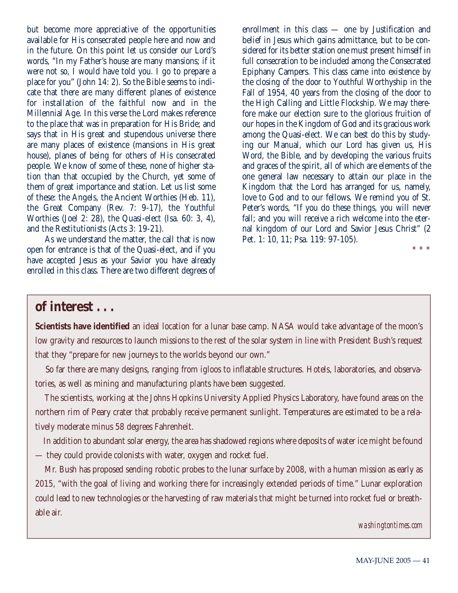but become more appreciative of the opportunities available for His consecrated people here and now and in the future. On this point let us consider our Lord's words, "In my Father's house are many mansions; if it were not so, I would have told you. I go to prepare a place for you" (John 14: 2). So the Bible seems to indicate that there are many different planes of existence for installation of the faithful now and in the Millennial Age. In this verse the Lord makes reference to the place that was in preparation for His Bride; and says that in His great and stupendous universe there are many places of existence (mansions in His great house), planes of being for others of His consecrated people. We know of some of these, none of higher station than that occupied by the Church, yet some of them of great importance and station. Let us list some of these: the Angels, the Ancient Worthies (Heb. 11), the Great Company (Rev. 7: 9-17), the Youthful Worthies (Joel 2: 28), the Quasi-elect (Isa. 60: 3, 4), and the Restitutionists (Acts 3: 19-21).

As we understand the matter, the call that is now open for entrance is that of the Quasi-elect, and if you have accepted Jesus as your Savior you have already enrolled in this class. There are two different degrees of enrollment in this class — one by Justification and belief in Jesus which gains admittance, but to be considered for its better station one must present himself in full consecration to be included among the Consecrated Epiphany Campers. This class came into existence by the closing of the door to Youthful Worthyship in the Fall of 1954, 40 years from the closing of the door to the High Calling and Little Flockship. We may therefore make our election sure to the glorious fruition of our hopes in the Kingdom of God and its gracious work among the Quasi-elect. We can best do this by studying our Manual, which our Lord has given us, His Word, the Bible, and by developing the various fruits and graces of the spirit, all of which are elements of the one general law necessary to attain our place in the Kingdom that the Lord has arranged for us, namely, love to God and to our fellows. We remind you of St. Peter's words, "If you do these things, you will never fall; and you will receive a rich welcome into the eternal kingdom of our Lord and Savior Jesus Christ" (2 Pet. 1: 10, 11; Psa. 119: 97-105).

\* \* \*

### **of interest . . .**

**Scientists have identified** an ideal location for a lunar base camp. NASA would take advantage of the moon's low gravity and resources to launch missions to the rest of the solar system in line with President Bush's request that they "prepare for new journeys to the worlds beyond our own."

So far there are many designs, ranging from igloos to inflatable structures. Hotels, laboratories, and observatories, as well as mining and manufacturing plants have been suggested.

The scientists, working at the Johns Hopkins University Applied Physics Laboratory, have found areas on the northern rim of Peary crater that probably receive permanent sunlight. Temperatures are estimated to be a relatively moderate minus 58 degrees Fahrenheit.

In addition to abundant solar energy, the area has shadowed regions where deposits of water ice might be found — they could provide colonists with water, oxygen and rocket fuel.

Mr. Bush has proposed sending robotic probes to the lunar surface by 2008, with a human mission as early as 2015, "with the goal of living and working there for increasingly extended periods of time." Lunar exploration could lead to new technologies or the harvesting of raw materials that might be turned into rocket fuel or breathable air.

*washingtontimes.com*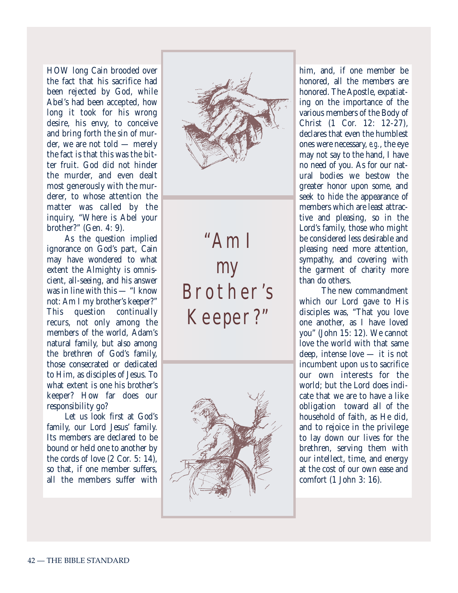HOW long Cain brooded over the fact that his sacrifice had been rejected by God, while Abel's had been accepted, how long it took for his wrong desire, his envy, to conceive and bring forth the sin of murder, we are not told — merely the fact is that this was the bitter fruit. God did not hinder the murder, and even dealt most generously with the murderer, to whose attention the matter was called by the inquiry, "Where is Abel your brother?" (Gen. 4: 9).

As the question implied ignorance on God's part, Cain may have wondered to what extent the Almighty is omniscient, all-seeing, and his answer was in line with this — "I know not: Am I my brother's keeper?" This question continually recurs, not only among the members of the world, Adam's natural family, but also among the brethren of God's family, those consecrated or dedicated to Him, as disciples of Jesus. To what extent is one his brother's keeper? How far does our responsibility go?

Let us look first at God's family, our Lord Jesus' family. Its members are declared to be bound or held one to another by the cords of love (2 Cor. 5: 14), so that, if one member suffers, all the members suffer with



"Am I my Brother's Keeper?"



him, and, if one member be honored, all the members are honored. The Apostle, expatiating on the importance of the various members of the Body of Christ (1 Cor. 12: 12-27), declares that even the humblest ones were necessary, *e.g.*, the eye may not say to the hand, I have no need of you. As for our natural bodies we bestow the greater honor upon some, and seek to hide the appearance of members which are least attractive and pleasing, so in the Lord's family, those who might be considered less desirable and pleasing need more attention, sympathy, and covering with the garment of charity more than do others.

The new commandment which our Lord gave to His disciples was, "That you love one another, as I have loved you" (John 15: 12). We cannot love the world with that same deep, intense love — it is not incumbent upon us to sacrifice our own interests for the world; but the Lord does indicate that we are to have a like obligation toward all of the household of faith, as He did, and to rejoice in the privilege to lay down our lives for the brethren, serving them with our intellect, time, and energy at the cost of our own ease and comfort (1 John 3: 16).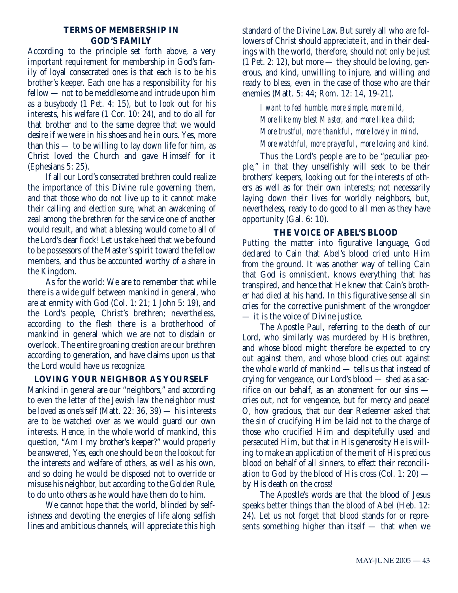#### **TERMS OF MEMBERSHIP IN GOD'S FAMILY**

According to the principle set forth above, a very important requirement for membership in God's family of loyal consecrated ones is that each is to be his brother's keeper. Each one has a responsibility for his fellow — not to be meddlesome and intrude upon him as a busybody (1 Pet. 4: 15), but to look out for his interests, his welfare (1 Cor. 10: 24), and to do all for that brother and to the same degree that we would desire if we were in his shoes and he in ours. Yes, more than this — to be willing to lay down life for him, as Christ loved the Church and gave Himself for it (Ephesians 5: 25).

If all our Lord's consecrated brethren could realize the importance of this Divine rule governing them, and that those who do not live up to it cannot make their calling and election sure, what an awakening of zeal among the brethren for the service one of another would result, and what a blessing would come to all of the Lord's dear flock! Let us take heed that we be found to be possessors of the Master's spirit toward the fellow members, and thus be accounted worthy of a share in the Kingdom.

As for the world: We are to remember that while there is a wide gulf between mankind in general, who are at enmity with God (Col. 1: 21; 1 John 5: 19), and the Lord's people, Christ's brethren; nevertheless, according to the flesh there is a brotherhood of mankind in general which we are not to disdain or overlook. The entire groaning creation are our brethren according to generation, and have claims upon us that the Lord would have us recognize.

#### **LOVING YOUR NEIGHBOR AS YOURSELF**

Mankind in general are our "neighbors," and according to even the letter of the Jewish law the neighbor must be loved as one's self (Matt. 22: 36, 39) — his interests are to be watched over as we would guard our own interests. Hence, in the whole world of mankind, this question, "Am I my brother's keeper?" would properly be answered, Yes, each one should be on the lookout for the interests and welfare of others, as well as his own, and so doing he would be disposed not to override or misuse his neighbor, but according to the Golden Rule, to do unto others as he would have them do to him.

We cannot hope that the world, blinded by selfishness and devoting the energies of life along selfish lines and ambitious channels, will appreciate this high standard of the Divine Law. But surely all who are followers of Christ should appreciate it, and in their dealings with the world, therefore, should not only be just  $(1$  Pet. 2: 12), but more — they should be loving, generous, and kind, unwilling to injure, and willing and ready to bless, even in the case of those who are their enemies (Matt. 5: 44; Rom. 12: 14, 19-21).

*I want to feel humble, more simple, more mild, More like my blest Master, and more like a child; More trustful, more thankful, more lovely in mind, More watchful, more prayerful, more loving and kind.*

Thus the Lord's people are to be "peculiar people," in that they unselfishly will seek to be their brothers' keepers, looking out for the interests of others as well as for their own interests; not necessarily laying down their lives for worldly neighbors, but, nevertheless, ready to do good to all men as they have opportunity (Gal. 6: 10).

#### **THE VOICE OF ABEL'S BLOOD**

Putting the matter into figurative language, God declared to Cain that Abel's blood cried unto Him from the ground. It was another way of telling Cain that God is omniscient, knows everything that has transpired, and hence that He knew that Cain's brother had died at his hand. In this figurative sense all sin cries for the corrective punishment of the wrongdoer — it is the voice of Divine justice.

The Apostle Paul, referring to the death of our Lord, who similarly was murdered by His brethren, and whose blood might therefore be expected to cry out against them, and whose blood cries out against the whole world of mankind — tells us that instead of crying for vengeance, our Lord's blood — shed as a sacrifice on our behalf, as an atonement for our sins cries out, not for vengeance, but for mercy and peace! O, how gracious, that our dear Redeemer asked that the sin of crucifying Him be laid not to the charge of those who crucified Him and despitefully used and persecuted Him, but that in His generosity He is willing to make an application of the merit of His precious blood on behalf of all sinners, to effect their reconciliation to God by the blood of His cross  $(Col. 1: 20)$  by His death on the cross!

The Apostle's words are that the blood of Jesus speaks better things than the blood of Abel (Heb. 12: 24). Let us not forget that blood stands for or represents something higher than itself — that when we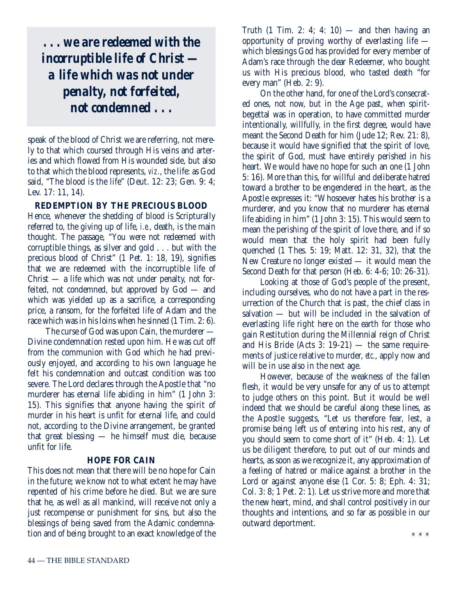*. . . we are redeemed with the incorruptible life of Christ a life which was not under penalty, not forfeited, not condemned . . .*

speak of the blood of Christ we are referring, not merely to that which coursed through His veins and arteries and which flowed from His wounded side, but also to that which the blood represents, *viz.*, the life: as God said, "The blood is the life" (Deut. 12: 23; Gen. 9: 4; Lev. 17: 11, 14).

**REDEMPTION BY THE PRECIOUS BLOOD**

Hence, whenever the shedding of blood is Scripturally referred to, the giving up of life, *i.e.*, death, is the main thought. The passage, "You were not redeemed with corruptible things, as silver and gold . . . but with the precious blood of Christ" (1 Pet. 1: 18, 19), signifies that we are redeemed with the incorruptible life of  $Christ - a life which was not under penalty, not for$ feited, not condemned, but approved by God — and which was yielded up as a sacrifice, a corresponding price, a ransom, for the forfeited life of Adam and the race which was in his loins when he sinned (1 Tim. 2: 6).

The curse of God was upon Cain, the murderer — Divine condemnation rested upon him. He was cut off from the communion with God which he had previously enjoyed, and according to his own language he felt his condemnation and outcast condition was too severe. The Lord declares through the Apostle that "no murderer has eternal life abiding in him" (1 John 3: 15). This signifies that anyone having the spirit of murder in his heart is unfit for eternal life, and could not, according to the Divine arrangement, be granted that great blessing — he himself must die, because unfit for life.

#### **HOPE FOR CAIN**

This does not mean that there will be no hope for Cain in the future; we know not to what extent he may have repented of his crime before he died. But we are sure that he, as well as all mankind, will receive not only a just recompense or punishment for sins, but also the blessings of being saved from the Adamic condemnation and of being brought to an exact knowledge of the Truth  $(1$  Tim. 2: 4; 4: 10) — and then having an opportunity of proving worthy of everlasting life which blessings God has provided for every member of Adam's race through the dear Redeemer, who bought us with His precious blood, who tasted death "for every man" (Heb. 2: 9).

On the other hand, for one of the Lord's consecrated ones, not now, but in the Age past, when spiritbegettal was in operation, to have committed murder intentionally, willfully, in the first degree, would have meant the Second Death for him (Jude 12; Rev. 21: 8), because it would have signified that the spirit of love, the spirit of God, must have entirely perished in his heart. We would have no hope for such an one (1 John 5: 16). More than this, for willful and deliberate hatred toward a brother to be engendered in the heart, as the Apostle expresses it: "Whosoever hates his brother is a murderer, and you know that no murderer has eternal life abiding in him" (1 John 3: 15). This would seem to mean the perishing of the spirit of love there, and if so would mean that the holy spirit had been fully quenched (1 Thes. 5: 19; Matt. 12: 31, 32), that the New Creature no longer existed — it would mean the Second Death for that person (Heb. 6: 4-6; 10: 26-31).

Looking at those of God's people of the present, including ourselves, who do not have a part in the resurrection of the Church that is past, the chief class in salvation — but will be included in the salvation of everlasting life right here on the earth for those who gain Restitution during the Millennial reign of Christ and His Bride (Acts  $3: 19-21$ ) — the same requirements of justice relative to murder, *etc.*, apply now and will be in use also in the next age.

However, because of the weakness of the fallen flesh, it would be very unsafe for any of us to attempt to judge others on this point. But it would be well indeed that we should be careful along these lines, as the Apostle suggests, "Let us therefore fear, lest, a promise being left us of entering into his rest, any of you should seem to come short of it" (Heb. 4: 1). Let us be diligent therefore, to put out of our minds and hearts, as soon as we recognize it, any approximation of a feeling of hatred or malice against a brother in the Lord or against anyone else (1 Cor. 5: 8; Eph. 4: 31; Col. 3: 8; 1 Pet. 2: 1). Let us strive more and more that the new heart, mind, and shall control positively in our thoughts and intentions, and so far as possible in our outward deportment.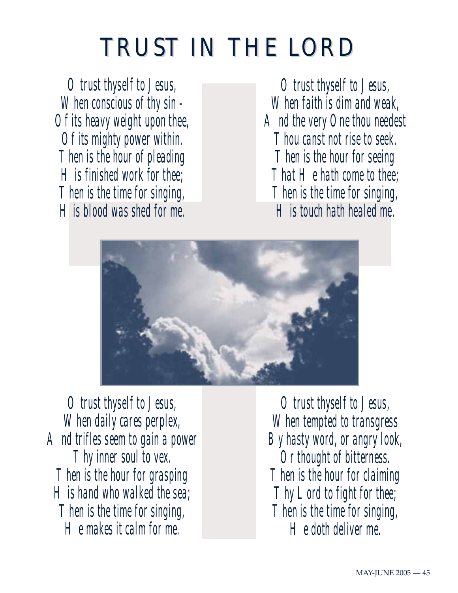## TRUST IN THE LORD

*O trust thyself to Jesus, When conscious of thy sin - Of its heavy weight upon thee, Of its mighty power within. Then is the hour of pleading His finished work for thee; Then is the time for singing, His blood was shed for me.*

*O trust thyself to Jesus, When faith is dim and weak, And the very One thou needest Thou canst not rise to seek. Then is the hour for seeing That He hath come to thee; Then is the time for singing, His touch hath healed me.*



*O trust thyself to Jesus, When daily cares perplex, And trifles seem to gain a power Thy inner soul to vex. Then is the hour for grasping His hand who walked the sea; Then is the time for singing, He makes it calm for me.*

*O trust thyself to Jesus, When tempted to transgress By hasty word, or angry look, Or thought of bitterness. Then is the hour for claiming Thy Lord to fight for thee; Then is the time for singing, He doth deliver me.*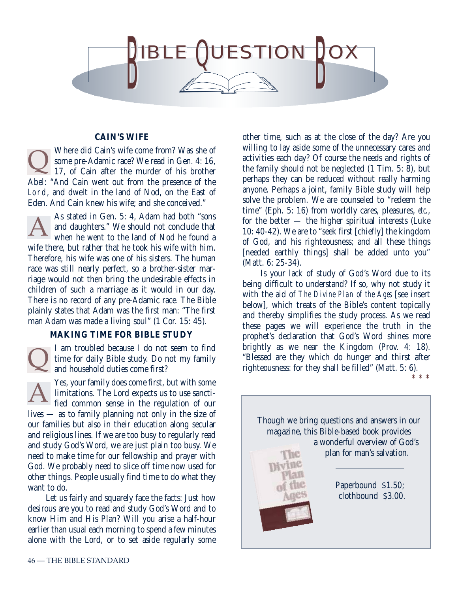

#### **CAIN'S WIFE**

Where did Cain's wife come from? Was she of some pre-Adamic race? We read in Gen. 4: 16, 17, of Cain after the murder of his brother Abel: "And Cain went out from the presence of the Lord, and dwelt in the land of Nod, on the East of Eden. And Cain knew his wife; and she conceived." Q

As stated in Gen. 5: 4, Adam had both "sons and daughters." We should not conclude that when he went to the land of Nod he found a wife there, but rather that he took his wife with him. Therefore, his wife was one of his sisters. The human race was still nearly perfect, so a brother-sister marriage would not then bring the undesirable effects in children of such a marriage as it would in our day. There is no record of any pre-Adamic race. The Bible plainly states that Adam was the first man: "The first man Adam was made a living soul" (1 Cor. 15: 45). A

#### **MAKING TIME FOR BIBLE STUDY**

I am troubled because I do not seem to find time for daily Bible study. Do not my family and household duties come first?  $\overline{\mathsf{Q}}$ 

Yes, your family does come first, but with some limitations. The Lord expects us to use sanctified common sense in the regulation of our lives — as to family planning not only in the size of our families but also in their education along secular and religious lines. If we are too busy to regularly read and study God's Word, we are just plain too busy. We need to make time for our fellowship and prayer with God. We probably need to slice off time now used for other things. People usually find time to do what they want to do. A

Let us fairly and squarely face the facts: Just how desirous are you to read and study God's Word and to know Him and His Plan? Will you arise a half-hour earlier than usual each morning to spend a few minutes alone with the Lord, or to set aside regularly some

other time, such as at the close of the day? Are you willing to lay aside some of the unnecessary cares and activities each day? Of course the needs and rights of the family should not be neglected (1 Tim. 5: 8), but perhaps they can be reduced without really harming anyone. Perhaps a joint, family Bible study will help solve the problem. We are counseled to "redeem the time" (Eph. 5: 16) from worldly cares, pleasures, *etc.*, for the better — the higher spiritual interests (Luke 10: 40-42). We are to "seek first [chiefly] the kingdom of God, and his righteousness; and all these things [needed earthly things] shall be added unto you" (Matt. 6: 25-34).

Is your lack of study of God's Word due to its being difficult to understand? If so, why not study it with the aid of *The Divine Plan of the Ages* [see insert below], which treats of the Bible's content topically and thereby simplifies the study process. As we read these pages we will experience the truth in the prophet's declaration that God's Word shines more brightly as we near the Kingdom (Prov. 4: 18). "Blessed are they which do hunger and thirst after righteousness: for they shall be filled" (Matt. 5: 6).

\* \* \*

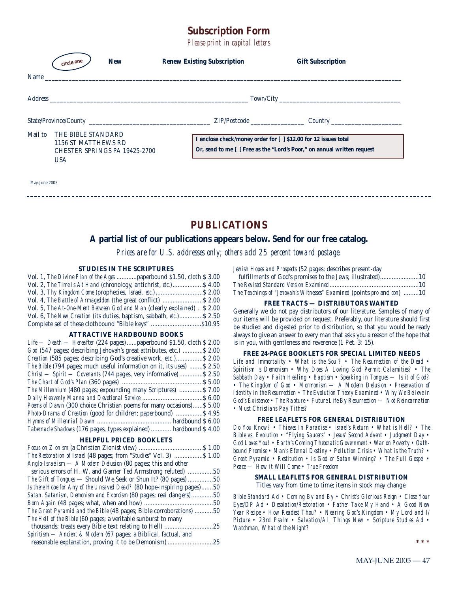### **Subscription Form**

*Please print in capital letters*

| Name_   | <b>New</b><br>circle one                                                                 | <b>Renew Existing Subscription</b>                              | <b>Gift Subscription</b>                                                |
|---------|------------------------------------------------------------------------------------------|-----------------------------------------------------------------|-------------------------------------------------------------------------|
|         |                                                                                          |                                                                 |                                                                         |
|         |                                                                                          |                                                                 |                                                                         |
| Mail to | THE BIBLE STANDARD<br>1156 ST MATTHEWS RD<br>CHESTER SPRINGS PA 19425-2700<br><b>USA</b> | I enclose check/money order for [ ] \$12.00 for 12 issues total | Or, send to me [ ] Free as the "Lord's Poor," on annual written request |

May-June 2005

#### **PUBLICATIONS**

#### **A partial list of our publications appears below. Send for our free catalog.**

*Prices are for U.S. addresses only; others add 25 percent toward postage.*

#### **STUDIES IN THE SCRIPTURES**

| Vol. 1, The Divine Plan of the Ages  paperbound \$1.50, cloth \$3.00                |  |
|-------------------------------------------------------------------------------------|--|
| Vol. 2, The Time Is At Hand (chronology, antichrist, etc.) \$4.00                   |  |
|                                                                                     |  |
|                                                                                     |  |
| Vol. 5, The At-One-Ment Between God and Man (clearly explained)  \$ 2.00            |  |
| Vol. 6, <i>The New Creation</i> (its duties, baptism, sabbath, <i>etc.</i> )\$ 2.50 |  |
| Complete set of these clothbound "Bible keys" \$10.95                               |  |

#### **ATTRACTIVE HARDBOUND BOOKS**

| Life — Death — Hereafter (224 pages)  paperbound \$1.50, cloth \$2.00  |
|------------------------------------------------------------------------|
|                                                                        |
| God (547 pages; describing Jehovah's great attributes, etc.)  \$2.00   |
| Creation (585 pages; describing God's creative work, etc.) \$2.00      |
| The Bible (794 pages; much useful information on it, its uses)  \$2.50 |
| $Christ - Spirit - Covenants (744 pages, very informative) $ \$ 2.50   |
|                                                                        |
| The Millennium (480 pages; expounding many Scriptures)  \$7.00         |
|                                                                        |
| Poems of Dawn (300 choice Christian poems for many occasions) \$5.00   |
| <i>Photo-Drama of Creation</i> (good for children; paperbound)  \$4.95 |
|                                                                        |
| Tabernacle Shadows (176 pages, types explained)  hardbound \$4.00      |

#### **HELPFUL PRICED BOOKLETS**

*Jewish Hopes and Prospects* (52 pages; describes present-day

| $\mathbf{1}$ , and $\mathbf{1}$ , and $\mathbf{1}$ , and $\mathbf{1}$ , and $\mathbf{1}$ , and $\mathbf{1}$ , and $\mathbf{1}$<br>fulfillments of God's promises to the Jews; illustrated)10 |  |
|----------------------------------------------------------------------------------------------------------------------------------------------------------------------------------------------|--|
|                                                                                                                                                                                              |  |
| The Teachings of "Jehovah's Witnesses" Examined (points pro and con) 10                                                                                                                      |  |

#### **FREE TRACTS — DISTRIBUTORS WANTED**

Generally we do not pay distributors of our literature. Samples of many of our items will be provided on request. Preferably, our literature should first be studied and digested prior to distribution, so that you would be ready always to give an answer to every man that asks you a reason of the hope that is in you, with gentleness and reverence (1 Pet. 3: 15).

#### **FREE 24-PAGE BOOKLETS FOR SPECIAL LIMITED NEEDS**

*Life and Immortality • What is the Soul? • The Resurrection of the Dead • Spiritism is Demonism • Why Does A Loving God Permit Calamities? • The Sabbath Day • Faith Healing • Baptism • Speaking in Tongues — Is it of God? • The Kingdom of God • Mormonism — A Modern Delusion • Preservation of Identity in the Resurrection • The Evolution Theory Examined • Why We Believe in God's Existence • The Rapture • Future Life By Resurrection — Not Reincarnation • Must Christians Pay Tithes?*

#### **FREE LEAFLETS FOR GENERAL DISTRIBUTION**

*Do You Know? • Thieves In Paradise • Israel's Return • What is Hell? • The Bible vs. Evolution • "Flying Saucers" • Jesus' Second Advent • Judgment Day • God Loves You! • Earth's Coming Theocratic Government • War on Poverty • Oathbound Promise • Man's Eternal Destiny • Pollution Crisis • What is the Truth? • Great Pyramid • Restitution • Is God or Satan Winning? • The Full Gospel • Peace — How it Will Come • True Freedom*

#### **SMALL LEAFLETS FOR GENERAL DISTRIBUTION** Titles vary from time to time; items in stock may change.

*Bible Standard Ad • Coming By and By • Christ's Glorious Reign • Close Your*

*Eyes/DP Ad • Desolation/Restoration • Father Take My Hand • A Good New Year Recipe • How Readest Thou? • Nearing God's Kingdom • My Lord and I/ Picture • 23rd Psalm • Salvation/All Things New • Scripture Studies Ad • Watchman, What of the Night?*

**\*\*\***